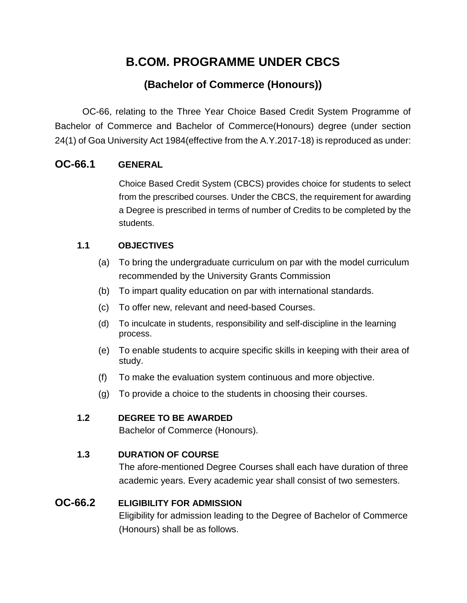# **B.COM. PROGRAMME UNDER CBCS**

## **(Bachelor of Commerce (Honours))**

OC-66, relating to the Three Year Choice Based Credit System Programme of Bachelor of Commerce and Bachelor of Commerce(Honours) degree (under section 24(1) of Goa University Act 1984(effective from the A.Y.2017-18) is reproduced as under:

## **OC-66.1 GENERAL**

Choice Based Credit System (CBCS) provides choice for students to select from the prescribed courses. Under the CBCS, the requirement for awarding a Degree is prescribed in terms of number of Credits to be completed by the students.

## **1.1 OBJECTIVES**

- (a) To bring the undergraduate curriculum on par with the model curriculum recommended by the University Grants Commission
- (b) To impart quality education on par with international standards.
- (c) To offer new, relevant and need-based Courses.
- (d) To inculcate in students, responsibility and self-discipline in the learning process.
- (e) To enable students to acquire specific skills in keeping with their area of study.
- (f) To make the evaluation system continuous and more objective.
- (g) To provide a choice to the students in choosing their courses.

## **1.2 DEGREE TO BE AWARDED**

Bachelor of Commerce (Honours).

## **1.3 DURATION OF COURSE**

The afore-mentioned Degree Courses shall each have duration of three academic years. Every academic year shall consist of two semesters.

## **OC-66.2 ELIGIBILITY FOR ADMISSION**

Eligibility for admission leading to the Degree of Bachelor of Commerce (Honours) shall be as follows.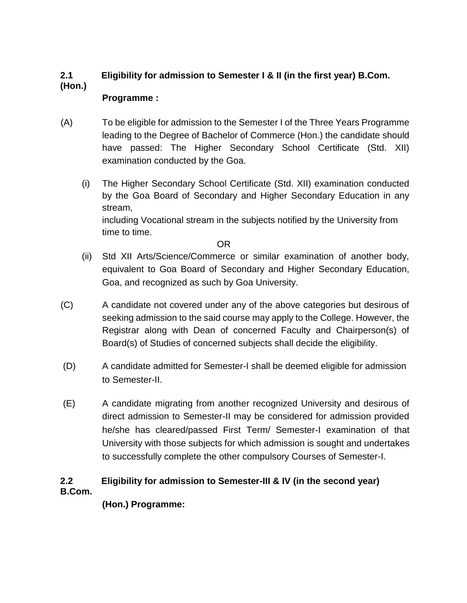## **2.1 Eligibility for admission to Semester I & II (in the first year) B.Com. (Hon.)**

## **Programme :**

- (A) To be eligible for admission to the Semester I of the Three Years Programme leading to the Degree of Bachelor of Commerce (Hon.) the candidate should have passed: The Higher Secondary School Certificate (Std. XII) examination conducted by the Goa.
	- (i) The Higher Secondary School Certificate (Std. XII) examination conducted by the Goa Board of Secondary and Higher Secondary Education in any stream, including Vocational stream in the subjects notified by the University from time to time.

OR

- (ii) Std XII Arts/Science/Commerce or similar examination of another body, equivalent to Goa Board of Secondary and Higher Secondary Education, Goa, and recognized as such by Goa University.
- (C) A candidate not covered under any of the above categories but desirous of seeking admission to the said course may apply to the College. However, the Registrar along with Dean of concerned Faculty and Chairperson(s) of Board(s) of Studies of concerned subjects shall decide the eligibility.
- (D) A candidate admitted for Semester-I shall be deemed eligible for admission to Semester-II.
- (E) A candidate migrating from another recognized University and desirous of direct admission to Semester-II may be considered for admission provided he/she has cleared/passed First Term/ Semester-I examination of that University with those subjects for which admission is sought and undertakes to successfully complete the other compulsory Courses of Semester-I.

## **2.2 Eligibility for admission to Semester-III & IV (in the second year) B.Com.**

**(Hon.) Programme:**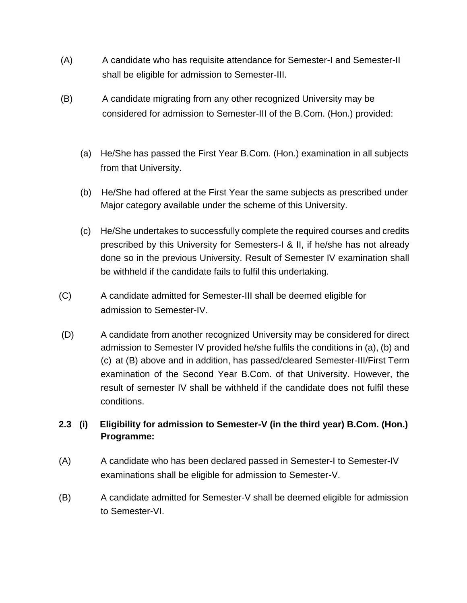- (A) A candidate who has requisite attendance for Semester-I and Semester-II shall be eligible for admission to Semester-III.
- (B) A candidate migrating from any other recognized University may be considered for admission to Semester-III of the B.Com. (Hon.) provided:
	- (a) He/She has passed the First Year B.Com. (Hon.) examination in all subjects from that University.
	- (b) He/She had offered at the First Year the same subjects as prescribed under Major category available under the scheme of this University.
	- (c) He/She undertakes to successfully complete the required courses and credits prescribed by this University for Semesters-I & II, if he/she has not already done so in the previous University. Result of Semester IV examination shall be withheld if the candidate fails to fulfil this undertaking.
- (C) A candidate admitted for Semester-III shall be deemed eligible for admission to Semester-IV.
- (D) A candidate from another recognized University may be considered for direct admission to Semester IV provided he/she fulfils the conditions in (a), (b) and (c) at (B) above and in addition, has passed/cleared Semester-III/First Term examination of the Second Year B.Com. of that University. However, the result of semester IV shall be withheld if the candidate does not fulfil these conditions.

## **2.3 (i) Eligibility for admission to Semester-V (in the third year) B.Com. (Hon.) Programme:**

- (A) A candidate who has been declared passed in Semester-I to Semester-IV examinations shall be eligible for admission to Semester-V.
- (B) A candidate admitted for Semester-V shall be deemed eligible for admission to Semester-VI.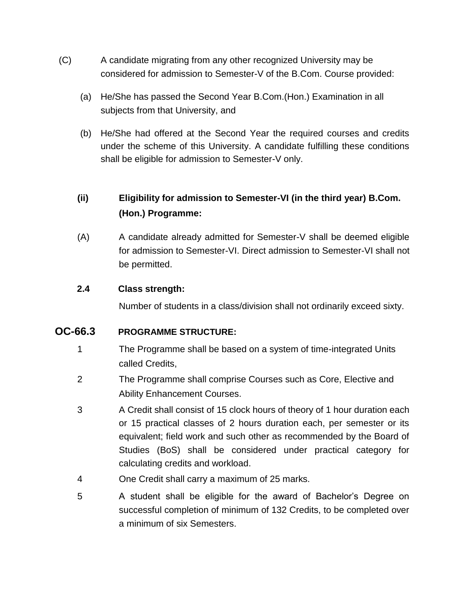- (C) A candidate migrating from any other recognized University may be considered for admission to Semester-V of the B.Com. Course provided:
	- (a) He/She has passed the Second Year B.Com.(Hon.) Examination in all subjects from that University, and
	- (b) He/She had offered at the Second Year the required courses and credits under the scheme of this University. A candidate fulfilling these conditions shall be eligible for admission to Semester-V only.

## **(ii) Eligibility for admission to Semester-VI (in the third year) B.Com. (Hon.) Programme:**

(A) A candidate already admitted for Semester-V shall be deemed eligible for admission to Semester-VI. Direct admission to Semester-VI shall not be permitted.

## **2.4 Class strength:**

Number of students in a class/division shall not ordinarily exceed sixty.

## **OC-66.3 PROGRAMME STRUCTURE:**

- 1 The Programme shall be based on a system of time-integrated Units called Credits,
- 2 The Programme shall comprise Courses such as Core, Elective and Ability Enhancement Courses.
- 3 A Credit shall consist of 15 clock hours of theory of 1 hour duration each or 15 practical classes of 2 hours duration each, per semester or its equivalent; field work and such other as recommended by the Board of Studies (BoS) shall be considered under practical category for calculating credits and workload.
- 4 One Credit shall carry a maximum of 25 marks.
- 5 A student shall be eligible for the award of Bachelor's Degree on successful completion of minimum of 132 Credits, to be completed over a minimum of six Semesters.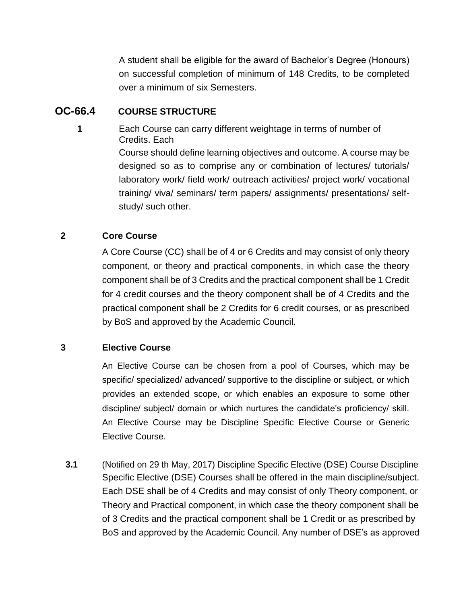A student shall be eligible for the award of Bachelor's Degree (Honours) on successful completion of minimum of 148 Credits, to be completed over a minimum of six Semesters.

## **OC-66.4 COURSE STRUCTURE**

**1** Each Course can carry different weightage in terms of number of Credits. Each

> Course should define learning objectives and outcome. A course may be designed so as to comprise any or combination of lectures/ tutorials/ laboratory work/ field work/ outreach activities/ project work/ vocational training/ viva/ seminars/ term papers/ assignments/ presentations/ selfstudy/ such other.

## **2 Core Course**

A Core Course (CC) shall be of 4 or 6 Credits and may consist of only theory component, or theory and practical components, in which case the theory component shall be of 3 Credits and the practical component shall be 1 Credit for 4 credit courses and the theory component shall be of 4 Credits and the practical component shall be 2 Credits for 6 credit courses, or as prescribed by BoS and approved by the Academic Council.

## **3 Elective Course**

An Elective Course can be chosen from a pool of Courses, which may be specific/ specialized/ advanced/ supportive to the discipline or subject, or which provides an extended scope, or which enables an exposure to some other discipline/ subject/ domain or which nurtures the candidate's proficiency/ skill. An Elective Course may be Discipline Specific Elective Course or Generic Elective Course.

**3.1** (Notified on 29 th May, 2017) Discipline Specific Elective (DSE) Course Discipline Specific Elective (DSE) Courses shall be offered in the main discipline/subject. Each DSE shall be of 4 Credits and may consist of only Theory component, or Theory and Practical component, in which case the theory component shall be of 3 Credits and the practical component shall be 1 Credit or as prescribed by BoS and approved by the Academic Council. Any number of DSE's as approved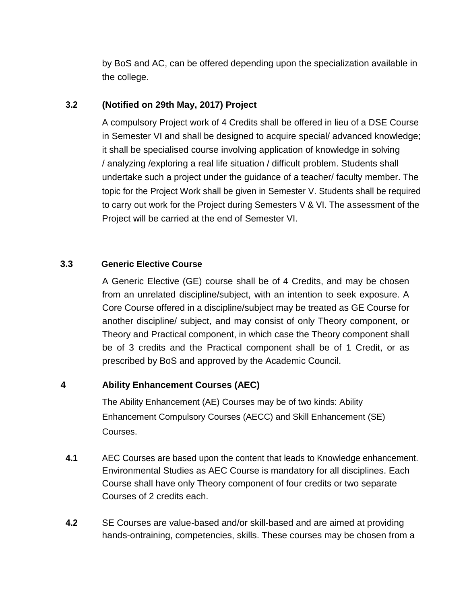by BoS and AC, can be offered depending upon the specialization available in the college.

#### **3.2 (Notified on 29th May, 2017) Project**

A compulsory Project work of 4 Credits shall be offered in lieu of a DSE Course in Semester VI and shall be designed to acquire special/ advanced knowledge; it shall be specialised course involving application of knowledge in solving / analyzing /exploring a real life situation / difficult problem. Students shall undertake such a project under the guidance of a teacher/ faculty member. The topic for the Project Work shall be given in Semester V. Students shall be required to carry out work for the Project during Semesters V & VI. The assessment of the Project will be carried at the end of Semester VI.

#### **3.3 Generic Elective Course**

A Generic Elective (GE) course shall be of 4 Credits, and may be chosen from an unrelated discipline/subject, with an intention to seek exposure. A Core Course offered in a discipline/subject may be treated as GE Course for another discipline/ subject, and may consist of only Theory component, or Theory and Practical component, in which case the Theory component shall be of 3 credits and the Practical component shall be of 1 Credit, or as prescribed by BoS and approved by the Academic Council.

## **4 Ability Enhancement Courses (AEC)**

The Ability Enhancement (AE) Courses may be of two kinds: Ability Enhancement Compulsory Courses (AECC) and Skill Enhancement (SE) Courses.

- **4.1** AEC Courses are based upon the content that leads to Knowledge enhancement. Environmental Studies as AEC Course is mandatory for all disciplines. Each Course shall have only Theory component of four credits or two separate Courses of 2 credits each.
- **4.2** SE Courses are value-based and/or skill-based and are aimed at providing hands-ontraining, competencies, skills. These courses may be chosen from a